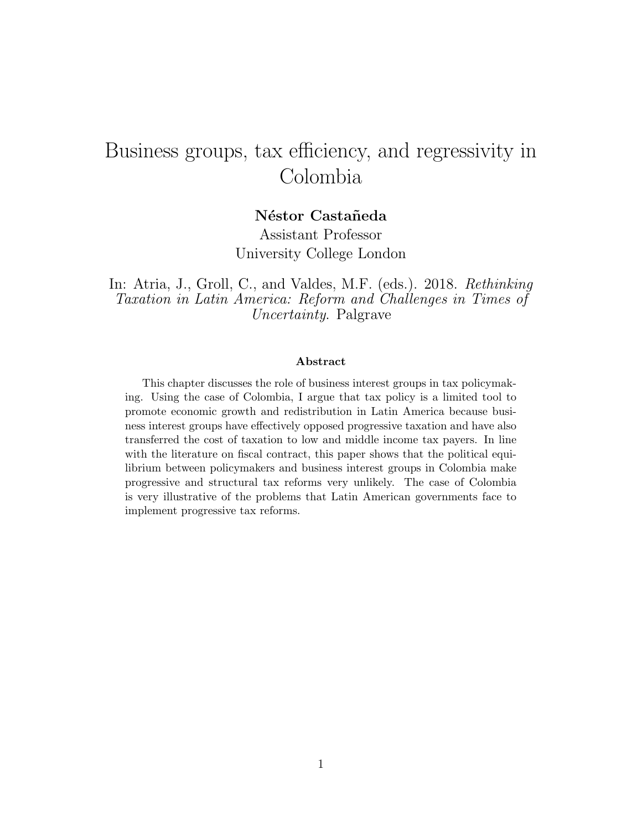## Business groups, tax efficiency, and regressivity in Colombia

### Néstor Castañeda

Assistant Professor University College London

In: Atria, J., Groll, C., and Valdes, M.F. (eds.). 2018. Rethinking Taxation in Latin America: Reform and Challenges in Times of Uncertainty. Palgrave

#### Abstract

This chapter discusses the role of business interest groups in tax policymaking. Using the case of Colombia, I argue that tax policy is a limited tool to promote economic growth and redistribution in Latin America because business interest groups have effectively opposed progressive taxation and have also transferred the cost of taxation to low and middle income tax payers. In line with the literature on fiscal contract, this paper shows that the political equilibrium between policymakers and business interest groups in Colombia make progressive and structural tax reforms very unlikely. The case of Colombia is very illustrative of the problems that Latin American governments face to implement progressive tax reforms.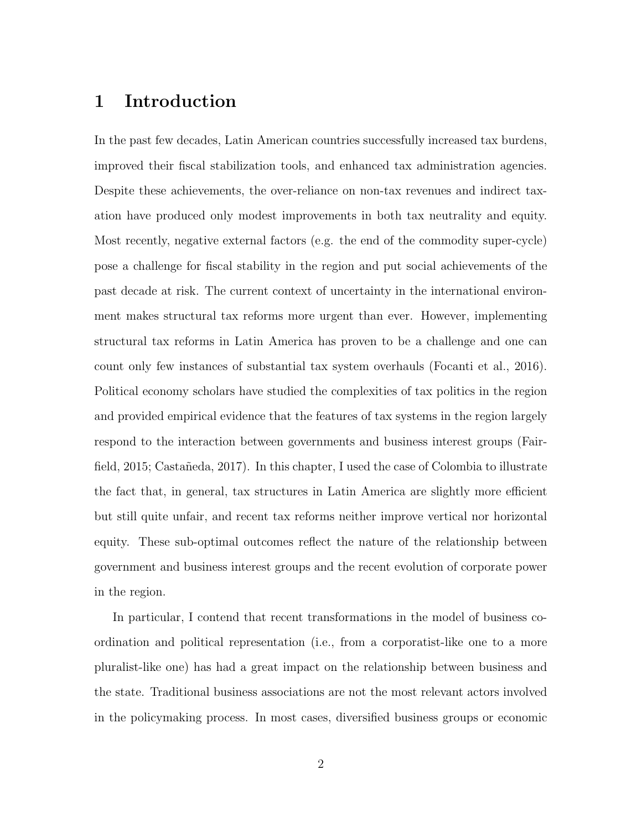## 1 Introduction

In the past few decades, Latin American countries successfully increased tax burdens, improved their fiscal stabilization tools, and enhanced tax administration agencies. Despite these achievements, the over-reliance on non-tax revenues and indirect taxation have produced only modest improvements in both tax neutrality and equity. Most recently, negative external factors (e.g. the end of the commodity super-cycle) pose a challenge for fiscal stability in the region and put social achievements of the past decade at risk. The current context of uncertainty in the international environment makes structural tax reforms more urgent than ever. However, implementing structural tax reforms in Latin America has proven to be a challenge and one can count only few instances of substantial tax system overhauls (Focanti et al., 2016). Political economy scholars have studied the complexities of tax politics in the region and provided empirical evidence that the features of tax systems in the region largely respond to the interaction between governments and business interest groups (Fairfield, 2015; Castañeda, 2017). In this chapter, I used the case of Colombia to illustrate the fact that, in general, tax structures in Latin America are slightly more efficient but still quite unfair, and recent tax reforms neither improve vertical nor horizontal equity. These sub-optimal outcomes reflect the nature of the relationship between government and business interest groups and the recent evolution of corporate power in the region.

In particular, I contend that recent transformations in the model of business coordination and political representation (i.e., from a corporatist-like one to a more pluralist-like one) has had a great impact on the relationship between business and the state. Traditional business associations are not the most relevant actors involved in the policymaking process. In most cases, diversified business groups or economic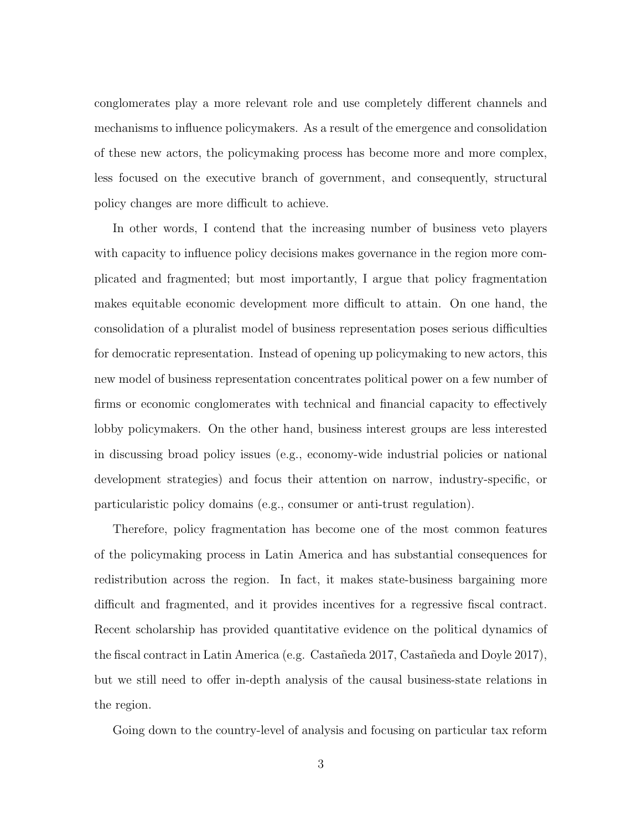conglomerates play a more relevant role and use completely different channels and mechanisms to influence policymakers. As a result of the emergence and consolidation of these new actors, the policymaking process has become more and more complex, less focused on the executive branch of government, and consequently, structural policy changes are more difficult to achieve.

In other words, I contend that the increasing number of business veto players with capacity to influence policy decisions makes governance in the region more complicated and fragmented; but most importantly, I argue that policy fragmentation makes equitable economic development more difficult to attain. On one hand, the consolidation of a pluralist model of business representation poses serious difficulties for democratic representation. Instead of opening up policymaking to new actors, this new model of business representation concentrates political power on a few number of firms or economic conglomerates with technical and financial capacity to effectively lobby policymakers. On the other hand, business interest groups are less interested in discussing broad policy issues (e.g., economy-wide industrial policies or national development strategies) and focus their attention on narrow, industry-specific, or particularistic policy domains (e.g., consumer or anti-trust regulation).

Therefore, policy fragmentation has become one of the most common features of the policymaking process in Latin America and has substantial consequences for redistribution across the region. In fact, it makes state-business bargaining more difficult and fragmented, and it provides incentives for a regressive fiscal contract. Recent scholarship has provided quantitative evidence on the political dynamics of the fiscal contract in Latin America (e.g. Castañeda 2017, Castañeda and Doyle 2017), but we still need to offer in-depth analysis of the causal business-state relations in the region.

Going down to the country-level of analysis and focusing on particular tax reform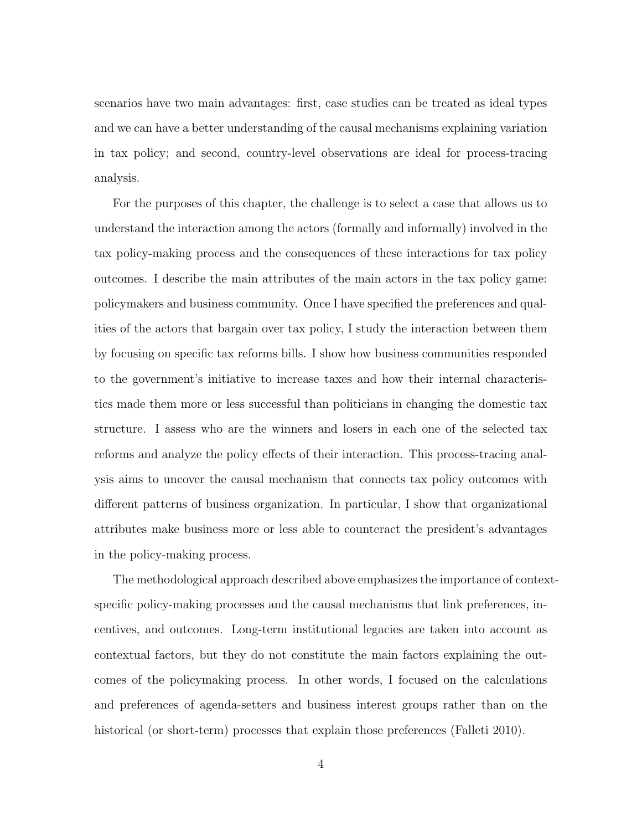scenarios have two main advantages: first, case studies can be treated as ideal types and we can have a better understanding of the causal mechanisms explaining variation in tax policy; and second, country-level observations are ideal for process-tracing analysis.

For the purposes of this chapter, the challenge is to select a case that allows us to understand the interaction among the actors (formally and informally) involved in the tax policy-making process and the consequences of these interactions for tax policy outcomes. I describe the main attributes of the main actors in the tax policy game: policymakers and business community. Once I have specified the preferences and qualities of the actors that bargain over tax policy, I study the interaction between them by focusing on specific tax reforms bills. I show how business communities responded to the government's initiative to increase taxes and how their internal characteristics made them more or less successful than politicians in changing the domestic tax structure. I assess who are the winners and losers in each one of the selected tax reforms and analyze the policy effects of their interaction. This process-tracing analysis aims to uncover the causal mechanism that connects tax policy outcomes with different patterns of business organization. In particular, I show that organizational attributes make business more or less able to counteract the president's advantages in the policy-making process.

The methodological approach described above emphasizes the importance of contextspecific policy-making processes and the causal mechanisms that link preferences, incentives, and outcomes. Long-term institutional legacies are taken into account as contextual factors, but they do not constitute the main factors explaining the outcomes of the policymaking process. In other words, I focused on the calculations and preferences of agenda-setters and business interest groups rather than on the historical (or short-term) processes that explain those preferences (Falleti 2010).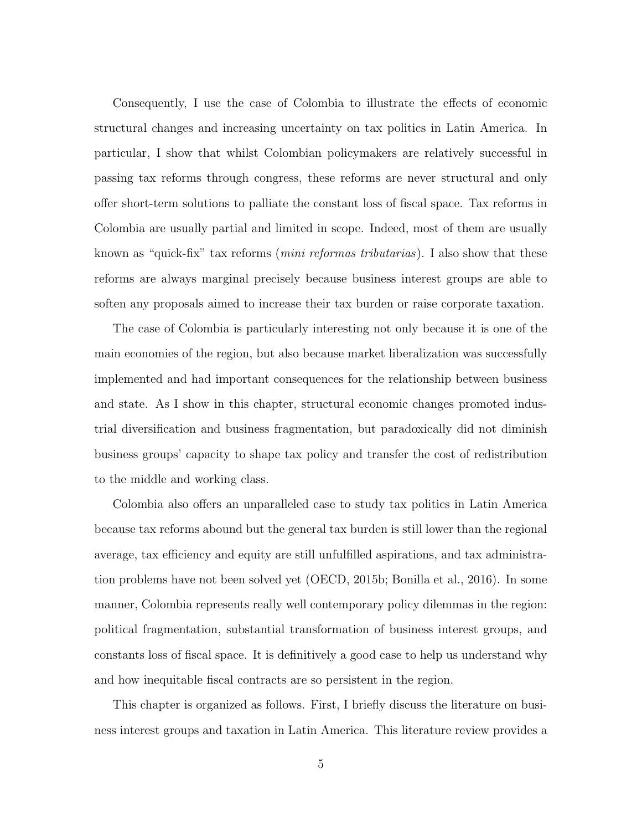Consequently, I use the case of Colombia to illustrate the effects of economic structural changes and increasing uncertainty on tax politics in Latin America. In particular, I show that whilst Colombian policymakers are relatively successful in passing tax reforms through congress, these reforms are never structural and only offer short-term solutions to palliate the constant loss of fiscal space. Tax reforms in Colombia are usually partial and limited in scope. Indeed, most of them are usually known as "quick-fix" tax reforms (*mini reformas tributarias*). I also show that these reforms are always marginal precisely because business interest groups are able to soften any proposals aimed to increase their tax burden or raise corporate taxation.

The case of Colombia is particularly interesting not only because it is one of the main economies of the region, but also because market liberalization was successfully implemented and had important consequences for the relationship between business and state. As I show in this chapter, structural economic changes promoted industrial diversification and business fragmentation, but paradoxically did not diminish business groups' capacity to shape tax policy and transfer the cost of redistribution to the middle and working class.

Colombia also offers an unparalleled case to study tax politics in Latin America because tax reforms abound but the general tax burden is still lower than the regional average, tax efficiency and equity are still unfulfilled aspirations, and tax administration problems have not been solved yet (OECD, 2015b; Bonilla et al., 2016). In some manner, Colombia represents really well contemporary policy dilemmas in the region: political fragmentation, substantial transformation of business interest groups, and constants loss of fiscal space. It is definitively a good case to help us understand why and how inequitable fiscal contracts are so persistent in the region.

This chapter is organized as follows. First, I briefly discuss the literature on business interest groups and taxation in Latin America. This literature review provides a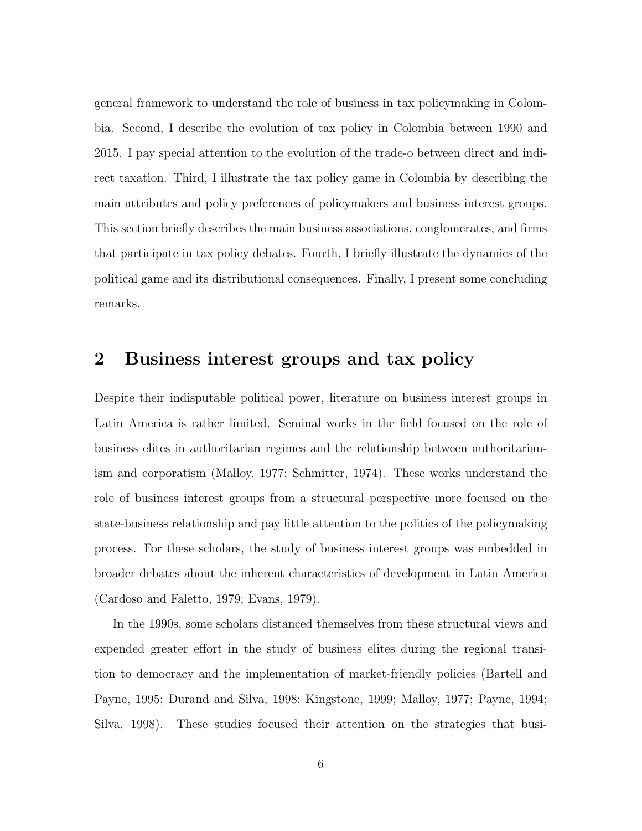general framework to understand the role of business in tax policymaking in Colombia. Second, I describe the evolution of tax policy in Colombia between 1990 and 2015. I pay special attention to the evolution of the trade-o between direct and indirect taxation. Third, I illustrate the tax policy game in Colombia by describing the main attributes and policy preferences of policymakers and business interest groups. This section briefly describes the main business associations, conglomerates, and firms that participate in tax policy debates. Fourth, I briefly illustrate the dynamics of the political game and its distributional consequences. Finally, I present some concluding remarks.

## 2 Business interest groups and tax policy

Despite their indisputable political power, literature on business interest groups in Latin America is rather limited. Seminal works in the field focused on the role of business elites in authoritarian regimes and the relationship between authoritarianism and corporatism (Malloy, 1977; Schmitter, 1974). These works understand the role of business interest groups from a structural perspective more focused on the state-business relationship and pay little attention to the politics of the policymaking process. For these scholars, the study of business interest groups was embedded in broader debates about the inherent characteristics of development in Latin America (Cardoso and Faletto, 1979; Evans, 1979).

In the 1990s, some scholars distanced themselves from these structural views and expended greater effort in the study of business elites during the regional transition to democracy and the implementation of market-friendly policies (Bartell and Payne, 1995; Durand and Silva, 1998; Kingstone, 1999; Malloy, 1977; Payne, 1994; Silva, 1998). These studies focused their attention on the strategies that busi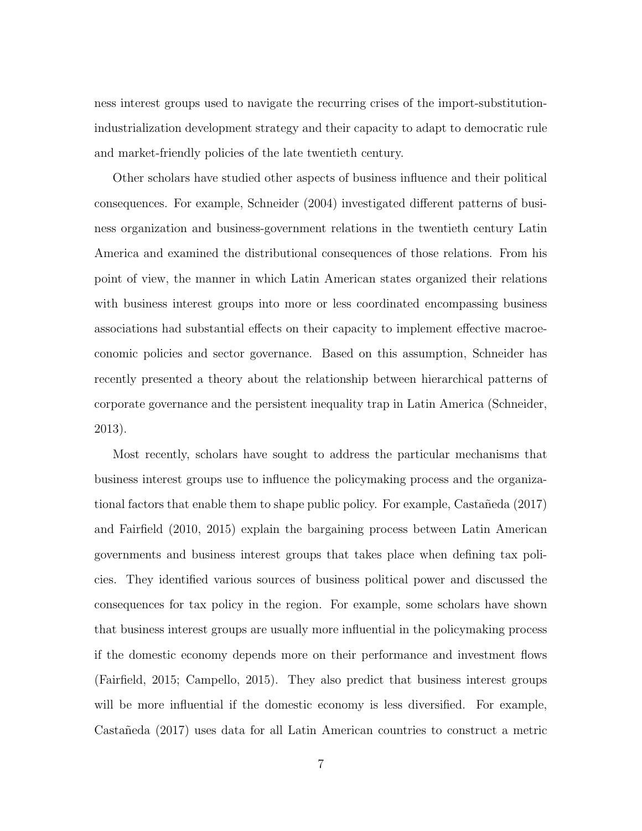ness interest groups used to navigate the recurring crises of the import-substitutionindustrialization development strategy and their capacity to adapt to democratic rule and market-friendly policies of the late twentieth century.

Other scholars have studied other aspects of business influence and their political consequences. For example, Schneider (2004) investigated different patterns of business organization and business-government relations in the twentieth century Latin America and examined the distributional consequences of those relations. From his point of view, the manner in which Latin American states organized their relations with business interest groups into more or less coordinated encompassing business associations had substantial effects on their capacity to implement effective macroeconomic policies and sector governance. Based on this assumption, Schneider has recently presented a theory about the relationship between hierarchical patterns of corporate governance and the persistent inequality trap in Latin America (Schneider, 2013).

Most recently, scholars have sought to address the particular mechanisms that business interest groups use to influence the policymaking process and the organizational factors that enable them to shape public policy. For example, Castañeda (2017) and Fairfield (2010, 2015) explain the bargaining process between Latin American governments and business interest groups that takes place when defining tax policies. They identified various sources of business political power and discussed the consequences for tax policy in the region. For example, some scholars have shown that business interest groups are usually more influential in the policymaking process if the domestic economy depends more on their performance and investment flows (Fairfield, 2015; Campello, 2015). They also predict that business interest groups will be more influential if the domestic economy is less diversified. For example, Castañeda (2017) uses data for all Latin American countries to construct a metric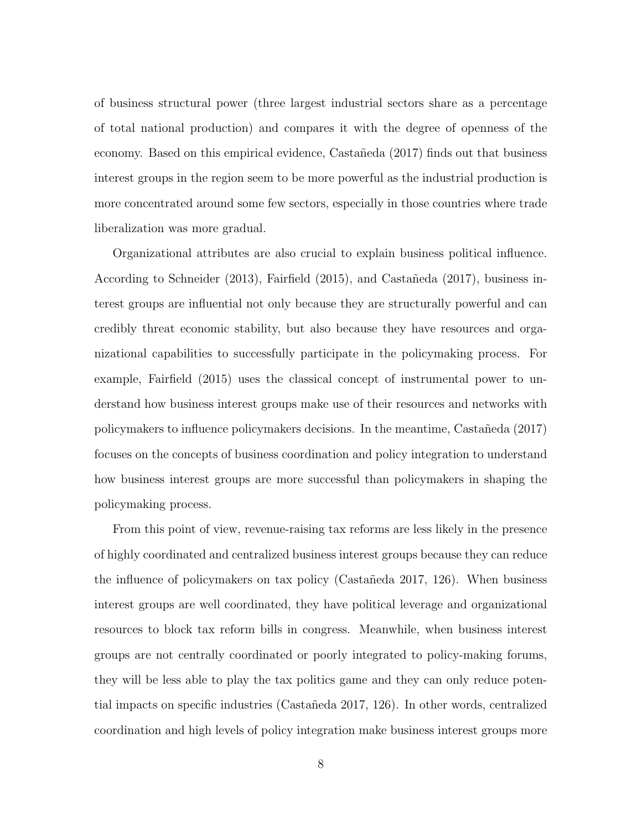of business structural power (three largest industrial sectors share as a percentage of total national production) and compares it with the degree of openness of the economy. Based on this empirical evidence, Castañeda (2017) finds out that business interest groups in the region seem to be more powerful as the industrial production is more concentrated around some few sectors, especially in those countries where trade liberalization was more gradual.

Organizational attributes are also crucial to explain business political influence. According to Schneider (2013), Fairfield (2015), and Castañeda (2017), business interest groups are influential not only because they are structurally powerful and can credibly threat economic stability, but also because they have resources and organizational capabilities to successfully participate in the policymaking process. For example, Fairfield (2015) uses the classical concept of instrumental power to understand how business interest groups make use of their resources and networks with policymakers to influence policymakers decisions. In the meantime, Castañeda (2017) focuses on the concepts of business coordination and policy integration to understand how business interest groups are more successful than policymakers in shaping the policymaking process.

From this point of view, revenue-raising tax reforms are less likely in the presence of highly coordinated and centralized business interest groups because they can reduce the influence of policymakers on tax policy (Castañeda 2017, 126). When business interest groups are well coordinated, they have political leverage and organizational resources to block tax reform bills in congress. Meanwhile, when business interest groups are not centrally coordinated or poorly integrated to policy-making forums, they will be less able to play the tax politics game and they can only reduce potential impacts on specific industries (Casta˜neda 2017, 126). In other words, centralized coordination and high levels of policy integration make business interest groups more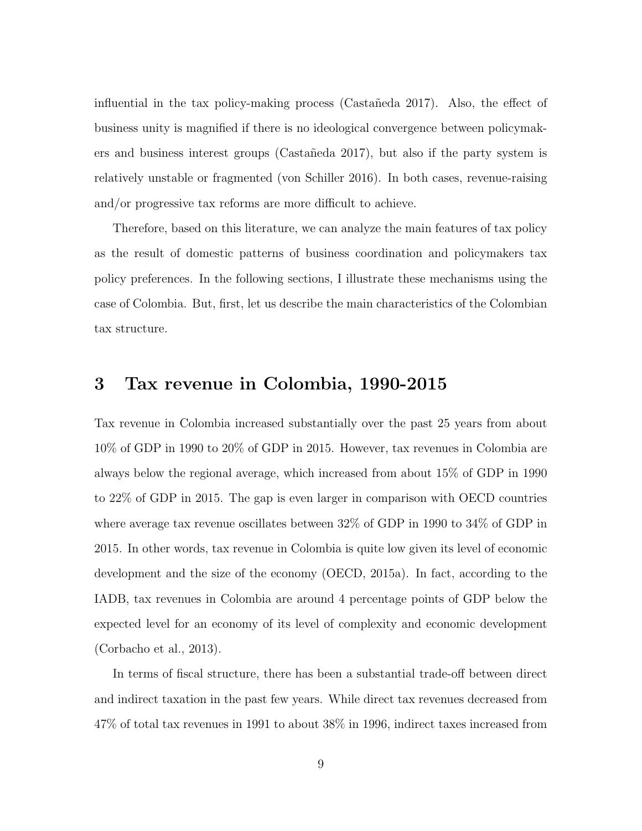influential in the tax policy-making process (Castañeda 2017). Also, the effect of business unity is magnified if there is no ideological convergence between policymakers and business interest groups (Castañeda 2017), but also if the party system is relatively unstable or fragmented (von Schiller 2016). In both cases, revenue-raising and/or progressive tax reforms are more difficult to achieve.

Therefore, based on this literature, we can analyze the main features of tax policy as the result of domestic patterns of business coordination and policymakers tax policy preferences. In the following sections, I illustrate these mechanisms using the case of Colombia. But, first, let us describe the main characteristics of the Colombian tax structure.

## 3 Tax revenue in Colombia, 1990-2015

Tax revenue in Colombia increased substantially over the past 25 years from about 10% of GDP in 1990 to 20% of GDP in 2015. However, tax revenues in Colombia are always below the regional average, which increased from about 15% of GDP in 1990 to 22% of GDP in 2015. The gap is even larger in comparison with OECD countries where average tax revenue oscillates between 32% of GDP in 1990 to 34% of GDP in 2015. In other words, tax revenue in Colombia is quite low given its level of economic development and the size of the economy (OECD, 2015a). In fact, according to the IADB, tax revenues in Colombia are around 4 percentage points of GDP below the expected level for an economy of its level of complexity and economic development (Corbacho et al., 2013).

In terms of fiscal structure, there has been a substantial trade-off between direct and indirect taxation in the past few years. While direct tax revenues decreased from 47% of total tax revenues in 1991 to about 38% in 1996, indirect taxes increased from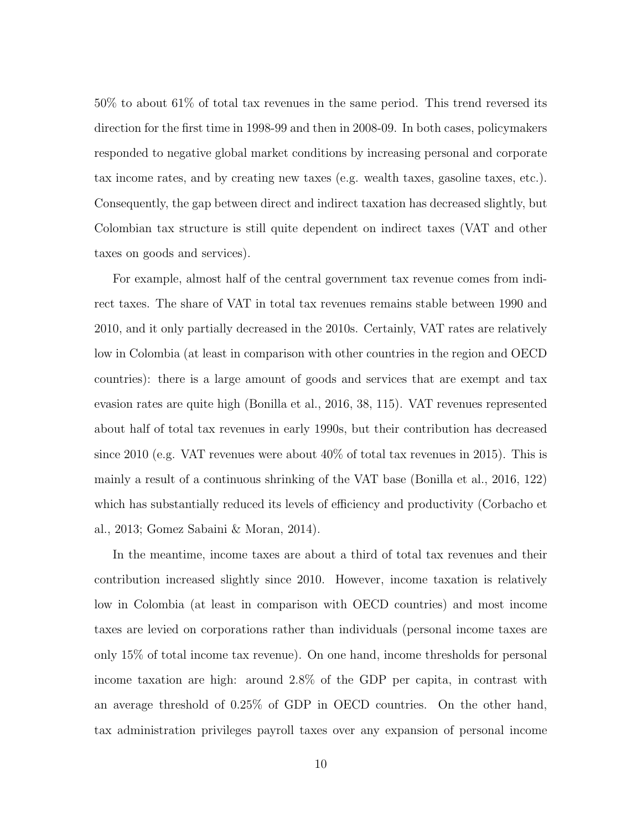50% to about 61% of total tax revenues in the same period. This trend reversed its direction for the first time in 1998-99 and then in 2008-09. In both cases, policymakers responded to negative global market conditions by increasing personal and corporate tax income rates, and by creating new taxes (e.g. wealth taxes, gasoline taxes, etc.). Consequently, the gap between direct and indirect taxation has decreased slightly, but Colombian tax structure is still quite dependent on indirect taxes (VAT and other taxes on goods and services).

For example, almost half of the central government tax revenue comes from indirect taxes. The share of VAT in total tax revenues remains stable between 1990 and 2010, and it only partially decreased in the 2010s. Certainly, VAT rates are relatively low in Colombia (at least in comparison with other countries in the region and OECD countries): there is a large amount of goods and services that are exempt and tax evasion rates are quite high (Bonilla et al., 2016, 38, 115). VAT revenues represented about half of total tax revenues in early 1990s, but their contribution has decreased since 2010 (e.g. VAT revenues were about 40% of total tax revenues in 2015). This is mainly a result of a continuous shrinking of the VAT base (Bonilla et al., 2016, 122) which has substantially reduced its levels of efficiency and productivity (Corbacho et al., 2013; Gomez Sabaini & Moran, 2014).

In the meantime, income taxes are about a third of total tax revenues and their contribution increased slightly since 2010. However, income taxation is relatively low in Colombia (at least in comparison with OECD countries) and most income taxes are levied on corporations rather than individuals (personal income taxes are only 15% of total income tax revenue). On one hand, income thresholds for personal income taxation are high: around 2.8% of the GDP per capita, in contrast with an average threshold of 0.25% of GDP in OECD countries. On the other hand, tax administration privileges payroll taxes over any expansion of personal income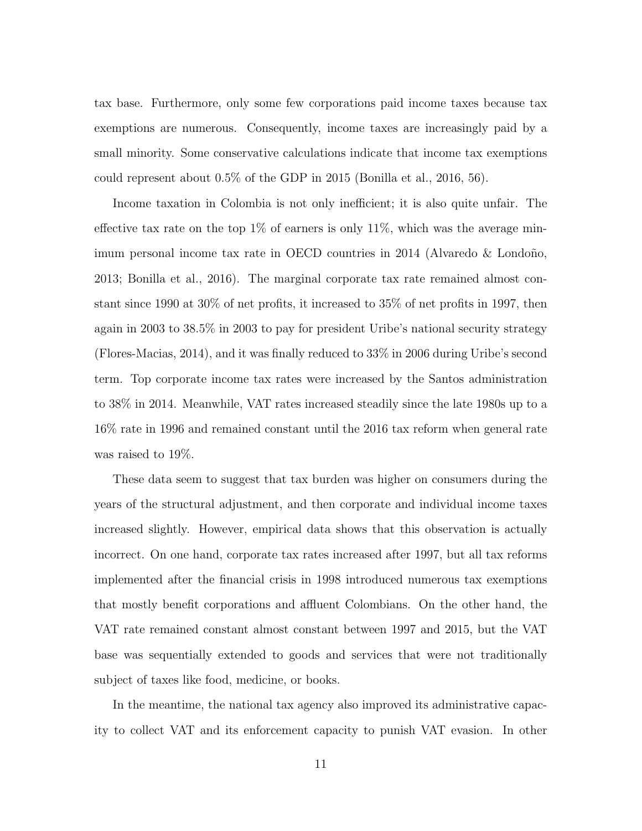tax base. Furthermore, only some few corporations paid income taxes because tax exemptions are numerous. Consequently, income taxes are increasingly paid by a small minority. Some conservative calculations indicate that income tax exemptions could represent about 0.5% of the GDP in 2015 (Bonilla et al., 2016, 56).

Income taxation in Colombia is not only inefficient; it is also quite unfair. The effective tax rate on the top  $1\%$  of earners is only  $11\%$ , which was the average minimum personal income tax rate in OECD countries in 2014 (Alvaredo  $&$  Londoño, 2013; Bonilla et al., 2016). The marginal corporate tax rate remained almost constant since 1990 at 30% of net profits, it increased to 35% of net profits in 1997, then again in 2003 to 38.5% in 2003 to pay for president Uribe's national security strategy (Flores-Macias, 2014), and it was finally reduced to 33% in 2006 during Uribe's second term. Top corporate income tax rates were increased by the Santos administration to 38% in 2014. Meanwhile, VAT rates increased steadily since the late 1980s up to a 16% rate in 1996 and remained constant until the 2016 tax reform when general rate was raised to 19%.

These data seem to suggest that tax burden was higher on consumers during the years of the structural adjustment, and then corporate and individual income taxes increased slightly. However, empirical data shows that this observation is actually incorrect. On one hand, corporate tax rates increased after 1997, but all tax reforms implemented after the financial crisis in 1998 introduced numerous tax exemptions that mostly benefit corporations and affluent Colombians. On the other hand, the VAT rate remained constant almost constant between 1997 and 2015, but the VAT base was sequentially extended to goods and services that were not traditionally subject of taxes like food, medicine, or books.

In the meantime, the national tax agency also improved its administrative capacity to collect VAT and its enforcement capacity to punish VAT evasion. In other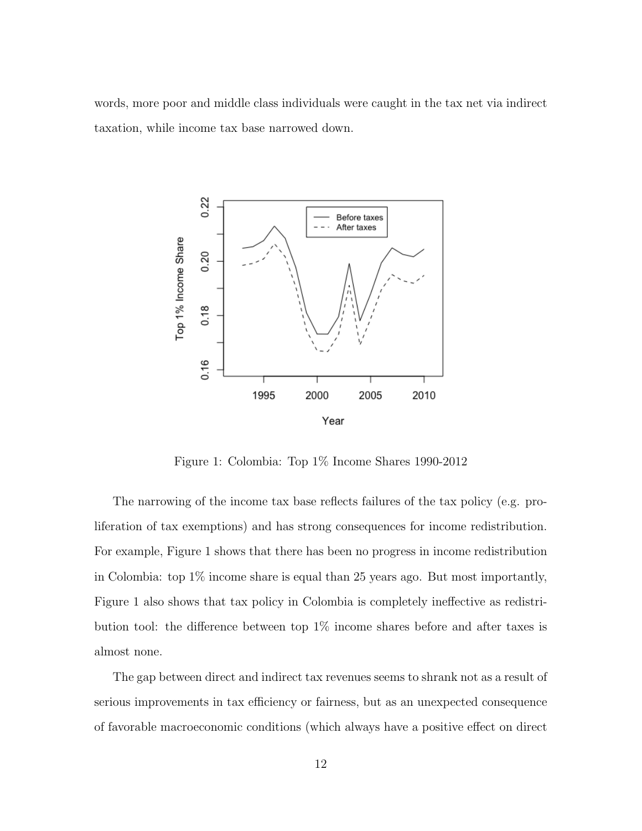words, more poor and middle class individuals were caught in the tax net via indirect taxation, while income tax base narrowed down.



Figure 1: Colombia: Top 1% Income Shares 1990-2012

The narrowing of the income tax base reflects failures of the tax policy (e.g. proliferation of tax exemptions) and has strong consequences for income redistribution. For example, Figure 1 shows that there has been no progress in income redistribution in Colombia: top 1% income share is equal than 25 years ago. But most importantly, Figure 1 also shows that tax policy in Colombia is completely ineffective as redistribution tool: the difference between top 1% income shares before and after taxes is almost none.

The gap between direct and indirect tax revenues seems to shrank not as a result of serious improvements in tax efficiency or fairness, but as an unexpected consequence of favorable macroeconomic conditions (which always have a positive effect on direct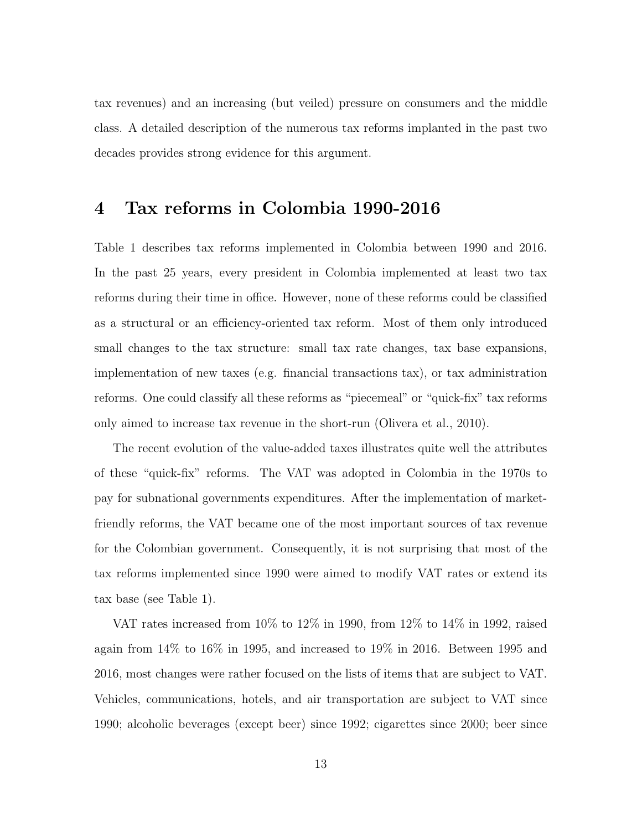tax revenues) and an increasing (but veiled) pressure on consumers and the middle class. A detailed description of the numerous tax reforms implanted in the past two decades provides strong evidence for this argument.

### 4 Tax reforms in Colombia 1990-2016

Table 1 describes tax reforms implemented in Colombia between 1990 and 2016. In the past 25 years, every president in Colombia implemented at least two tax reforms during their time in office. However, none of these reforms could be classified as a structural or an efficiency-oriented tax reform. Most of them only introduced small changes to the tax structure: small tax rate changes, tax base expansions, implementation of new taxes (e.g. financial transactions tax), or tax administration reforms. One could classify all these reforms as "piecemeal" or "quick-fix" tax reforms only aimed to increase tax revenue in the short-run (Olivera et al., 2010).

The recent evolution of the value-added taxes illustrates quite well the attributes of these "quick-fix" reforms. The VAT was adopted in Colombia in the 1970s to pay for subnational governments expenditures. After the implementation of marketfriendly reforms, the VAT became one of the most important sources of tax revenue for the Colombian government. Consequently, it is not surprising that most of the tax reforms implemented since 1990 were aimed to modify VAT rates or extend its tax base (see Table 1).

VAT rates increased from 10% to 12% in 1990, from 12% to 14% in 1992, raised again from 14% to 16% in 1995, and increased to 19% in 2016. Between 1995 and 2016, most changes were rather focused on the lists of items that are subject to VAT. Vehicles, communications, hotels, and air transportation are subject to VAT since 1990; alcoholic beverages (except beer) since 1992; cigarettes since 2000; beer since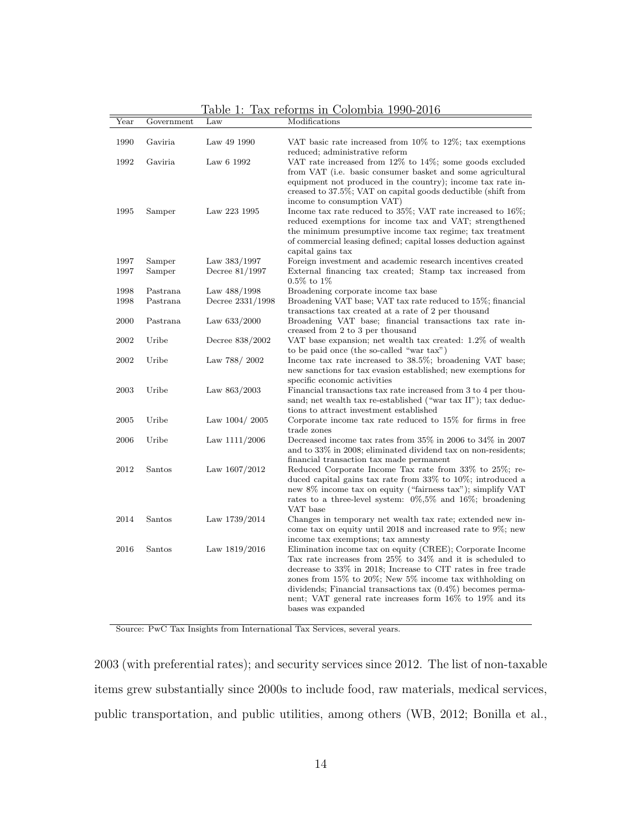| $\operatorname{Year}$ | Government | Law              | Modifications                                                                                                                     |
|-----------------------|------------|------------------|-----------------------------------------------------------------------------------------------------------------------------------|
|                       |            |                  |                                                                                                                                   |
| 1990                  | Gaviria    | Law 49 1990      | VAT basic rate increased from $10\%$ to $12\%$ ; tax exemptions                                                                   |
| 1992                  | Gaviria    | Law 6 1992       | reduced; administrative reform<br>VAT rate increased from 12% to 14%; some goods excluded                                         |
|                       |            |                  | from VAT (i.e. basic consumer basket and some agricultural                                                                        |
|                       |            |                  | equipment not produced in the country); income tax rate in-                                                                       |
|                       |            |                  | creased to 37.5%; VAT on capital goods deductible (shift from                                                                     |
|                       |            |                  | income to consumption VAT)                                                                                                        |
| 1995                  | Samper     | Law 223 1995     | Income tax rate reduced to $35\%$ ; VAT rate increased to $16\%$ ;                                                                |
|                       |            |                  | reduced exemptions for income tax and VAT; strengthened                                                                           |
|                       |            |                  | the minimum presumptive income tax regime; tax treatment                                                                          |
|                       |            |                  | of commercial leasing defined; capital losses deduction against                                                                   |
|                       |            |                  | capital gains tax                                                                                                                 |
| 1997                  | Samper     | Law $383/1997$   | Foreign investment and academic research incentives created                                                                       |
| 1997                  | Samper     | Decree $81/1997$ | External financing tax created; Stamp tax increased from<br>$0.5\%$ to $1\%$                                                      |
| 1998                  | Pastrana   | Law $488/1998$   | Broadening corporate income tax base                                                                                              |
| 1998                  | Pastrana   | Decree 2331/1998 | Broadening VAT base; VAT tax rate reduced to 15%; financial                                                                       |
|                       |            |                  | transactions tax created at a rate of 2 per thousand                                                                              |
| 2000                  | Pastrana   | Law $633/2000$   | Broadening VAT base; financial transactions tax rate in-                                                                          |
|                       |            |                  | creased from 2 to 3 per thousand                                                                                                  |
| 2002                  | Uribe      | Decree 838/2002  | VAT base expansion; net wealth tax created: 1.2% of wealth                                                                        |
|                       |            |                  | to be paid once (the so-called "war tax")                                                                                         |
| 2002                  | Uribe      | Law 788/2002     | Income tax rate increased to 38.5%; broadening VAT base;                                                                          |
|                       |            |                  | new sanctions for tax evasion established; new exemptions for                                                                     |
| 2003                  | Uribe      | Law $863/2003$   | specific economic activities                                                                                                      |
|                       |            |                  | Financial transactions tax rate increased from 3 to 4 per thou-<br>sand; net wealth tax re-established ("war tax II"); tax deduc- |
|                       |            |                  | tions to attract investment established                                                                                           |
| 2005                  | Uribe      | Law $1004/2005$  | Corporate income tax rate reduced to $15\%$ for firms in free                                                                     |
|                       |            |                  | trade zones                                                                                                                       |
| 2006                  | Uribe      | Law $1111/2006$  | Decreased income tax rates from $35\%$ in 2006 to $34\%$ in 2007                                                                  |
|                       |            |                  | and to 33% in 2008; eliminated dividend tax on non-residents;                                                                     |
|                       |            |                  | financial transaction tax made permanent                                                                                          |
| 2012                  | Santos     | Law $1607/2012$  | Reduced Corporate Income Tax rate from 33% to 25%; re-                                                                            |
|                       |            |                  | duced capital gains tax rate from $33\%$ to $10\%$ ; introduced a                                                                 |
|                       |            |                  | new 8% income tax on equity ("fairness tax"); simplify VAT                                                                        |
|                       |            |                  | rates to a three-level system: $0\%, 5\%$ and $16\%$ ; broadening<br>VAT base                                                     |
| 2014                  | Santos     | Law 1739/2014    | Changes in temporary net wealth tax rate; extended new in-                                                                        |
|                       |            |                  | come tax on equity until 2018 and increased rate to $9\%$ ; new                                                                   |
|                       |            |                  | income tax exemptions; tax amnesty                                                                                                |
| 2016                  | Santos     | Law $1819/2016$  | Elimination income tax on equity (CREE); Corporate Income                                                                         |
|                       |            |                  | Tax rate increases from $25\%$ to $34\%$ and it is scheduled to                                                                   |
|                       |            |                  | decrease to 33% in 2018; Increase to CIT rates in free trade                                                                      |
|                       |            |                  | zones from $15\%$ to $20\%$ ; New $5\%$ income tax withholding on                                                                 |
|                       |            |                  | dividends; Financial transactions tax $(0.4\%)$ becomes perma-                                                                    |
|                       |            |                  | nent; VAT general rate increases form $16\%$ to $19\%$ and its                                                                    |
|                       |            |                  | bases was expanded                                                                                                                |

Table 1: Tax reforms in Colombia 1990-2016

Source: PwC Tax Insights from International Tax Services, several years.

2003 (with preferential rates); and security services since 2012. The list of non-taxable items grew substantially since 2000s to include food, raw materials, medical services, public transportation, and public utilities, among others (WB, 2012; Bonilla et al.,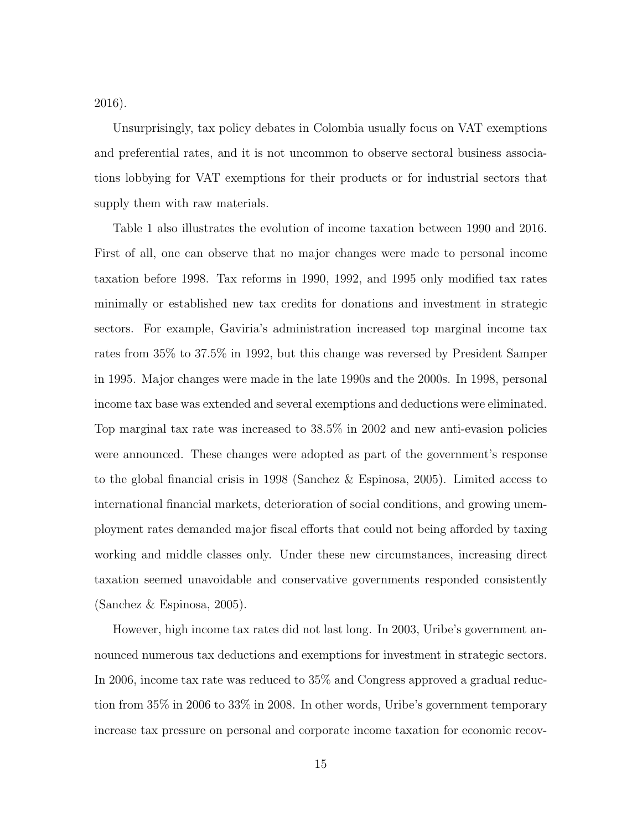2016).

Unsurprisingly, tax policy debates in Colombia usually focus on VAT exemptions and preferential rates, and it is not uncommon to observe sectoral business associations lobbying for VAT exemptions for their products or for industrial sectors that supply them with raw materials.

Table 1 also illustrates the evolution of income taxation between 1990 and 2016. First of all, one can observe that no major changes were made to personal income taxation before 1998. Tax reforms in 1990, 1992, and 1995 only modified tax rates minimally or established new tax credits for donations and investment in strategic sectors. For example, Gaviria's administration increased top marginal income tax rates from 35% to 37.5% in 1992, but this change was reversed by President Samper in 1995. Major changes were made in the late 1990s and the 2000s. In 1998, personal income tax base was extended and several exemptions and deductions were eliminated. Top marginal tax rate was increased to 38.5% in 2002 and new anti-evasion policies were announced. These changes were adopted as part of the government's response to the global financial crisis in 1998 (Sanchez & Espinosa, 2005). Limited access to international financial markets, deterioration of social conditions, and growing unemployment rates demanded major fiscal efforts that could not being afforded by taxing working and middle classes only. Under these new circumstances, increasing direct taxation seemed unavoidable and conservative governments responded consistently (Sanchez & Espinosa, 2005).

However, high income tax rates did not last long. In 2003, Uribe's government announced numerous tax deductions and exemptions for investment in strategic sectors. In 2006, income tax rate was reduced to 35% and Congress approved a gradual reduction from 35% in 2006 to 33% in 2008. In other words, Uribe's government temporary increase tax pressure on personal and corporate income taxation for economic recov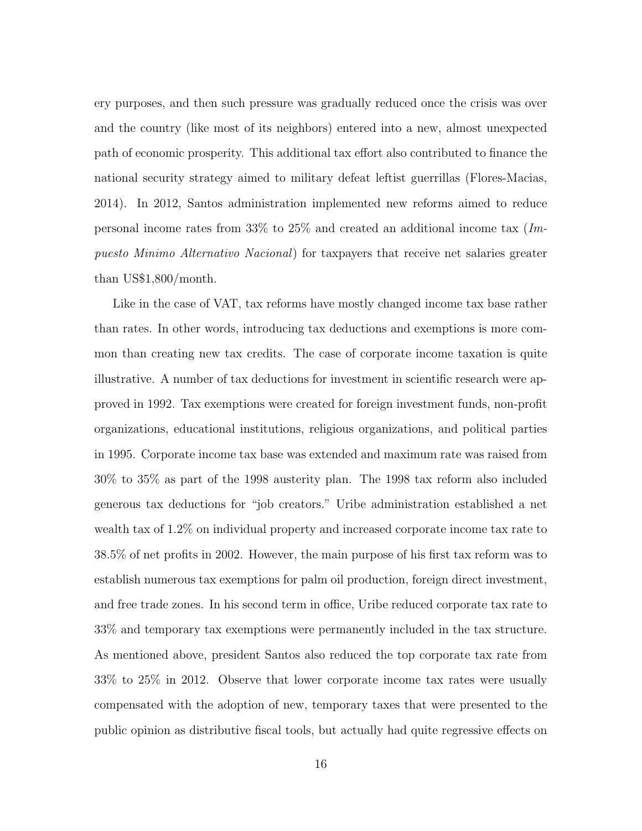ery purposes, and then such pressure was gradually reduced once the crisis was over and the country (like most of its neighbors) entered into a new, almost unexpected path of economic prosperity. This additional tax effort also contributed to finance the national security strategy aimed to military defeat leftist guerrillas (Flores-Macias, 2014). In 2012, Santos administration implemented new reforms aimed to reduce personal income rates from 33% to 25% and created an additional income tax  $(Im$ puesto Minimo Alternativo Nacional) for taxpayers that receive net salaries greater than US\$1,800/month.

Like in the case of VAT, tax reforms have mostly changed income tax base rather than rates. In other words, introducing tax deductions and exemptions is more common than creating new tax credits. The case of corporate income taxation is quite illustrative. A number of tax deductions for investment in scientific research were approved in 1992. Tax exemptions were created for foreign investment funds, non-profit organizations, educational institutions, religious organizations, and political parties in 1995. Corporate income tax base was extended and maximum rate was raised from 30% to 35% as part of the 1998 austerity plan. The 1998 tax reform also included generous tax deductions for "job creators." Uribe administration established a net wealth tax of 1.2% on individual property and increased corporate income tax rate to 38.5% of net profits in 2002. However, the main purpose of his first tax reform was to establish numerous tax exemptions for palm oil production, foreign direct investment, and free trade zones. In his second term in office, Uribe reduced corporate tax rate to 33% and temporary tax exemptions were permanently included in the tax structure. As mentioned above, president Santos also reduced the top corporate tax rate from 33% to 25% in 2012. Observe that lower corporate income tax rates were usually compensated with the adoption of new, temporary taxes that were presented to the public opinion as distributive fiscal tools, but actually had quite regressive effects on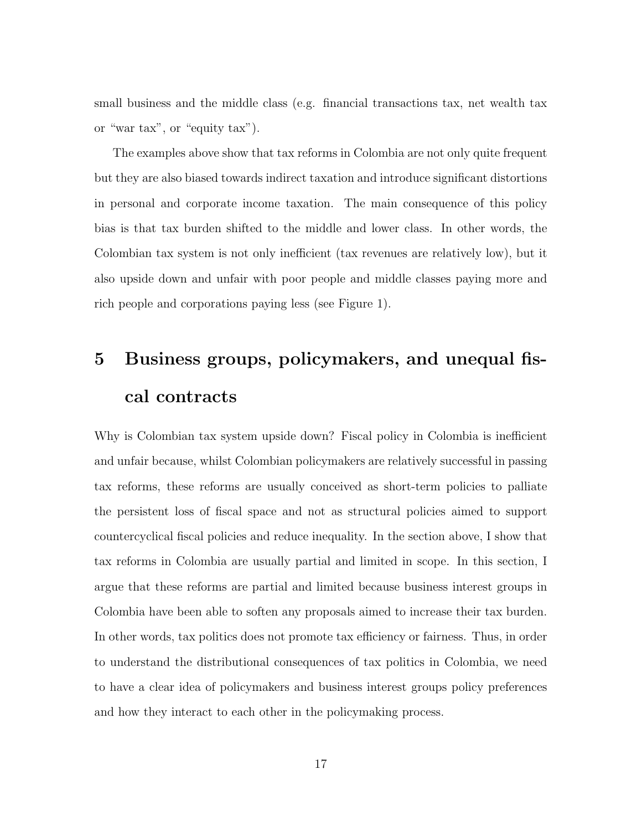small business and the middle class (e.g. financial transactions tax, net wealth tax or "war tax", or "equity tax").

The examples above show that tax reforms in Colombia are not only quite frequent but they are also biased towards indirect taxation and introduce significant distortions in personal and corporate income taxation. The main consequence of this policy bias is that tax burden shifted to the middle and lower class. In other words, the Colombian tax system is not only inefficient (tax revenues are relatively low), but it also upside down and unfair with poor people and middle classes paying more and rich people and corporations paying less (see Figure 1).

# 5 Business groups, policymakers, and unequal fiscal contracts

Why is Colombian tax system upside down? Fiscal policy in Colombia is inefficient and unfair because, whilst Colombian policymakers are relatively successful in passing tax reforms, these reforms are usually conceived as short-term policies to palliate the persistent loss of fiscal space and not as structural policies aimed to support countercyclical fiscal policies and reduce inequality. In the section above, I show that tax reforms in Colombia are usually partial and limited in scope. In this section, I argue that these reforms are partial and limited because business interest groups in Colombia have been able to soften any proposals aimed to increase their tax burden. In other words, tax politics does not promote tax efficiency or fairness. Thus, in order to understand the distributional consequences of tax politics in Colombia, we need to have a clear idea of policymakers and business interest groups policy preferences and how they interact to each other in the policymaking process.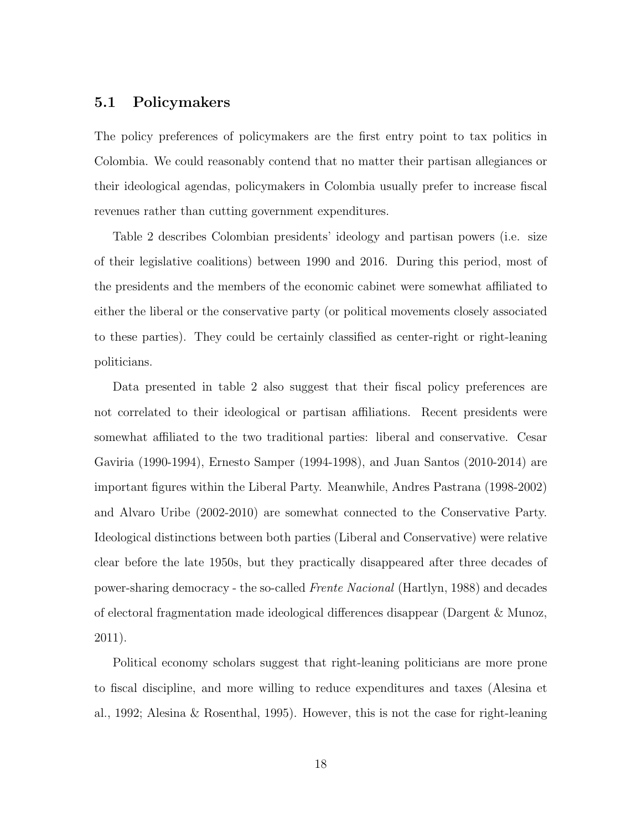### 5.1 Policymakers

The policy preferences of policymakers are the first entry point to tax politics in Colombia. We could reasonably contend that no matter their partisan allegiances or their ideological agendas, policymakers in Colombia usually prefer to increase fiscal revenues rather than cutting government expenditures.

Table 2 describes Colombian presidents' ideology and partisan powers (i.e. size of their legislative coalitions) between 1990 and 2016. During this period, most of the presidents and the members of the economic cabinet were somewhat affiliated to either the liberal or the conservative party (or political movements closely associated to these parties). They could be certainly classified as center-right or right-leaning politicians.

Data presented in table 2 also suggest that their fiscal policy preferences are not correlated to their ideological or partisan affiliations. Recent presidents were somewhat affiliated to the two traditional parties: liberal and conservative. Cesar Gaviria (1990-1994), Ernesto Samper (1994-1998), and Juan Santos (2010-2014) are important figures within the Liberal Party. Meanwhile, Andres Pastrana (1998-2002) and Alvaro Uribe (2002-2010) are somewhat connected to the Conservative Party. Ideological distinctions between both parties (Liberal and Conservative) were relative clear before the late 1950s, but they practically disappeared after three decades of power-sharing democracy - the so-called Frente Nacional (Hartlyn, 1988) and decades of electoral fragmentation made ideological differences disappear (Dargent & Munoz, 2011).

Political economy scholars suggest that right-leaning politicians are more prone to fiscal discipline, and more willing to reduce expenditures and taxes (Alesina et al., 1992; Alesina & Rosenthal, 1995). However, this is not the case for right-leaning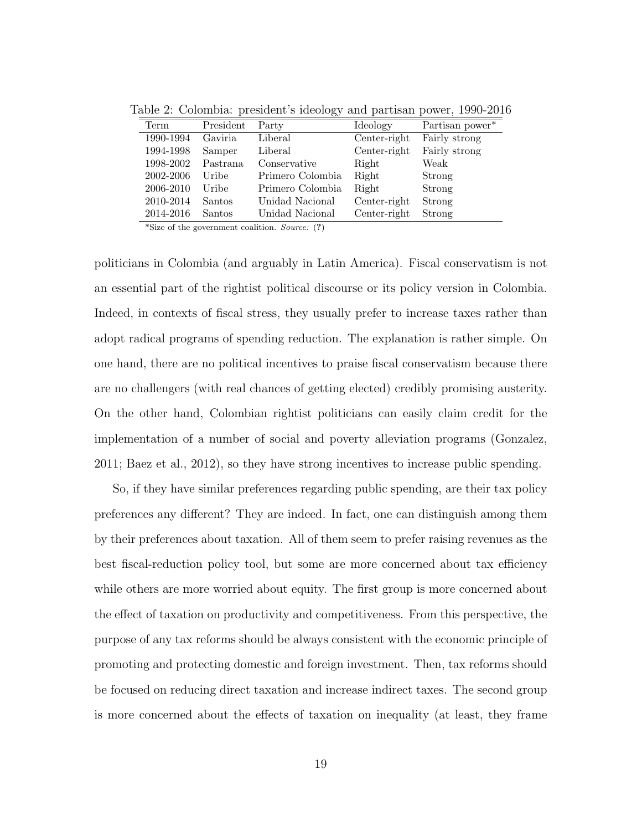| Term      | President      | Party            | Ideology     | $\overline{\text{Partisan power}}^*$ |
|-----------|----------------|------------------|--------------|--------------------------------------|
| 1990-1994 | <b>Gaviria</b> | Liberal          | Center-right | Fairly strong                        |
| 1994-1998 | Samper         | Liberal          | Center-right | Fairly strong                        |
| 1998-2002 | Pastrana       | Conservative     | Right        | Weak                                 |
| 2002-2006 | Uribe          | Primero Colombia | Right        | Strong                               |
| 2006-2010 | Uribe          | Primero Colombia | Right        | Strong                               |
| 2010-2014 | <b>Santos</b>  | Unidad Nacional  | Center-right | Strong                               |
| 2014-2016 | Santos         | Unidad Nacional  | Center-right | Strong                               |

Table 2: Colombia: president's ideology and partisan power, 1990-2016

\*Size of the government coalition. Source: (?)

politicians in Colombia (and arguably in Latin America). Fiscal conservatism is not an essential part of the rightist political discourse or its policy version in Colombia. Indeed, in contexts of fiscal stress, they usually prefer to increase taxes rather than adopt radical programs of spending reduction. The explanation is rather simple. On one hand, there are no political incentives to praise fiscal conservatism because there are no challengers (with real chances of getting elected) credibly promising austerity. On the other hand, Colombian rightist politicians can easily claim credit for the implementation of a number of social and poverty alleviation programs (Gonzalez, 2011; Baez et al., 2012), so they have strong incentives to increase public spending.

So, if they have similar preferences regarding public spending, are their tax policy preferences any different? They are indeed. In fact, one can distinguish among them by their preferences about taxation. All of them seem to prefer raising revenues as the best fiscal-reduction policy tool, but some are more concerned about tax efficiency while others are more worried about equity. The first group is more concerned about the effect of taxation on productivity and competitiveness. From this perspective, the purpose of any tax reforms should be always consistent with the economic principle of promoting and protecting domestic and foreign investment. Then, tax reforms should be focused on reducing direct taxation and increase indirect taxes. The second group is more concerned about the effects of taxation on inequality (at least, they frame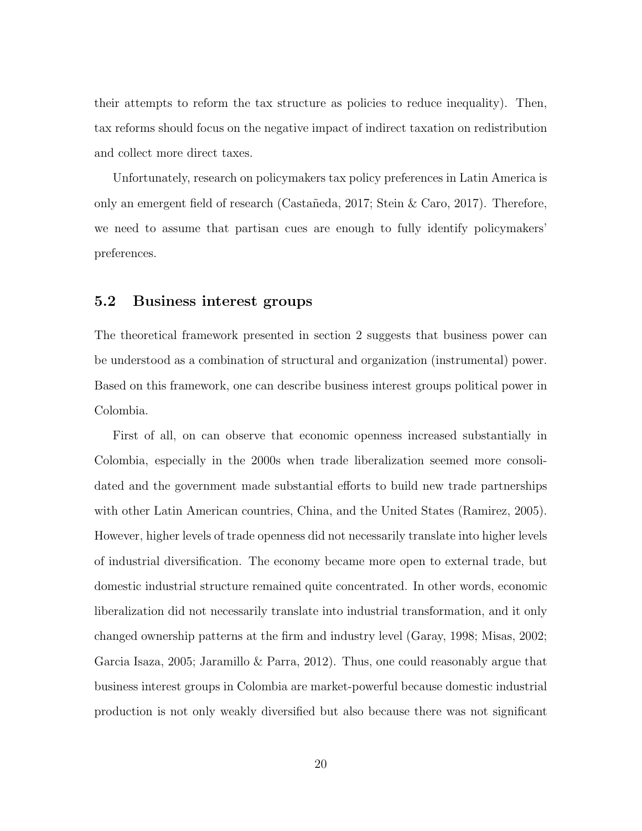their attempts to reform the tax structure as policies to reduce inequality). Then, tax reforms should focus on the negative impact of indirect taxation on redistribution and collect more direct taxes.

Unfortunately, research on policymakers tax policy preferences in Latin America is only an emergent field of research (Castañeda, 2017; Stein & Caro, 2017). Therefore, we need to assume that partisan cues are enough to fully identify policymakers' preferences.

### 5.2 Business interest groups

The theoretical framework presented in section 2 suggests that business power can be understood as a combination of structural and organization (instrumental) power. Based on this framework, one can describe business interest groups political power in Colombia.

First of all, on can observe that economic openness increased substantially in Colombia, especially in the 2000s when trade liberalization seemed more consolidated and the government made substantial efforts to build new trade partnerships with other Latin American countries, China, and the United States (Ramirez, 2005). However, higher levels of trade openness did not necessarily translate into higher levels of industrial diversification. The economy became more open to external trade, but domestic industrial structure remained quite concentrated. In other words, economic liberalization did not necessarily translate into industrial transformation, and it only changed ownership patterns at the firm and industry level (Garay, 1998; Misas, 2002; Garcia Isaza, 2005; Jaramillo & Parra, 2012). Thus, one could reasonably argue that business interest groups in Colombia are market-powerful because domestic industrial production is not only weakly diversified but also because there was not significant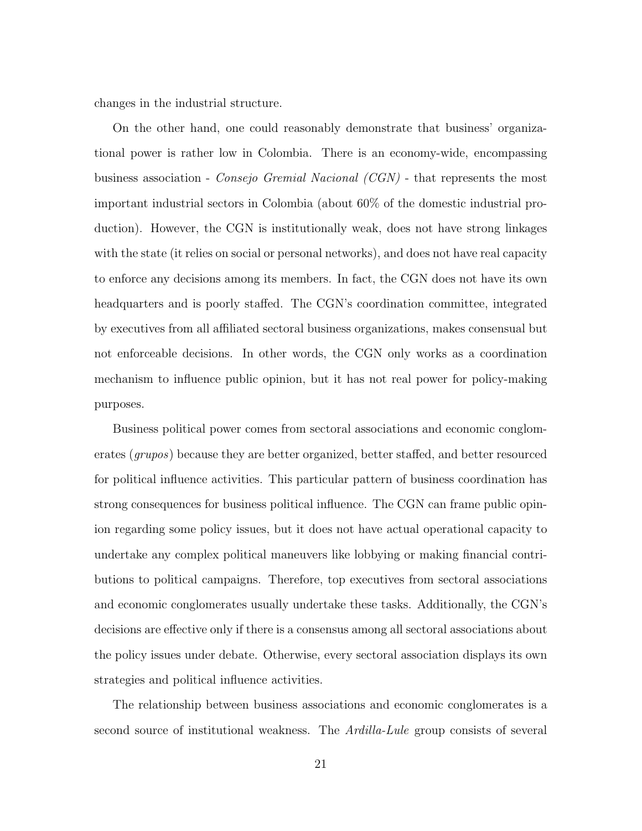changes in the industrial structure.

On the other hand, one could reasonably demonstrate that business' organizational power is rather low in Colombia. There is an economy-wide, encompassing business association - Consejo Gremial Nacional (CGN) - that represents the most important industrial sectors in Colombia (about 60% of the domestic industrial production). However, the CGN is institutionally weak, does not have strong linkages with the state (it relies on social or personal networks), and does not have real capacity to enforce any decisions among its members. In fact, the CGN does not have its own headquarters and is poorly staffed. The CGN's coordination committee, integrated by executives from all affiliated sectoral business organizations, makes consensual but not enforceable decisions. In other words, the CGN only works as a coordination mechanism to influence public opinion, but it has not real power for policy-making purposes.

Business political power comes from sectoral associations and economic conglomerates (*grupos*) because they are better organized, better staffed, and better resourced for political influence activities. This particular pattern of business coordination has strong consequences for business political influence. The CGN can frame public opinion regarding some policy issues, but it does not have actual operational capacity to undertake any complex political maneuvers like lobbying or making financial contributions to political campaigns. Therefore, top executives from sectoral associations and economic conglomerates usually undertake these tasks. Additionally, the CGN's decisions are effective only if there is a consensus among all sectoral associations about the policy issues under debate. Otherwise, every sectoral association displays its own strategies and political influence activities.

The relationship between business associations and economic conglomerates is a second source of institutional weakness. The *Ardilla-Lule* group consists of several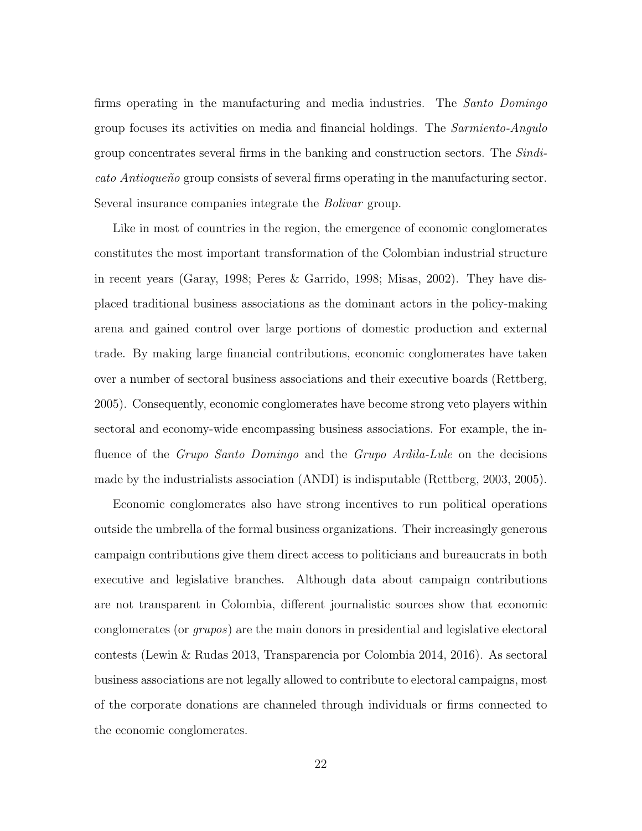firms operating in the manufacturing and media industries. The Santo Domingo group focuses its activities on media and financial holdings. The *Sarmiento-Angulo* group concentrates several firms in the banking and construction sectors. The *Sindi*cato Antioqueño group consists of several firms operating in the manufacturing sector. Several insurance companies integrate the *Bolivar* group.

Like in most of countries in the region, the emergence of economic conglomerates constitutes the most important transformation of the Colombian industrial structure in recent years (Garay, 1998; Peres & Garrido, 1998; Misas, 2002). They have displaced traditional business associations as the dominant actors in the policy-making arena and gained control over large portions of domestic production and external trade. By making large financial contributions, economic conglomerates have taken over a number of sectoral business associations and their executive boards (Rettberg, 2005). Consequently, economic conglomerates have become strong veto players within sectoral and economy-wide encompassing business associations. For example, the influence of the *Grupo Santo Domingo* and the *Grupo Ardila-Lule* on the decisions made by the industrialists association (ANDI) is indisputable (Rettberg, 2003, 2005).

Economic conglomerates also have strong incentives to run political operations outside the umbrella of the formal business organizations. Their increasingly generous campaign contributions give them direct access to politicians and bureaucrats in both executive and legislative branches. Although data about campaign contributions are not transparent in Colombia, different journalistic sources show that economic conglomerates (or grupos) are the main donors in presidential and legislative electoral contests (Lewin & Rudas 2013, Transparencia por Colombia 2014, 2016). As sectoral business associations are not legally allowed to contribute to electoral campaigns, most of the corporate donations are channeled through individuals or firms connected to the economic conglomerates.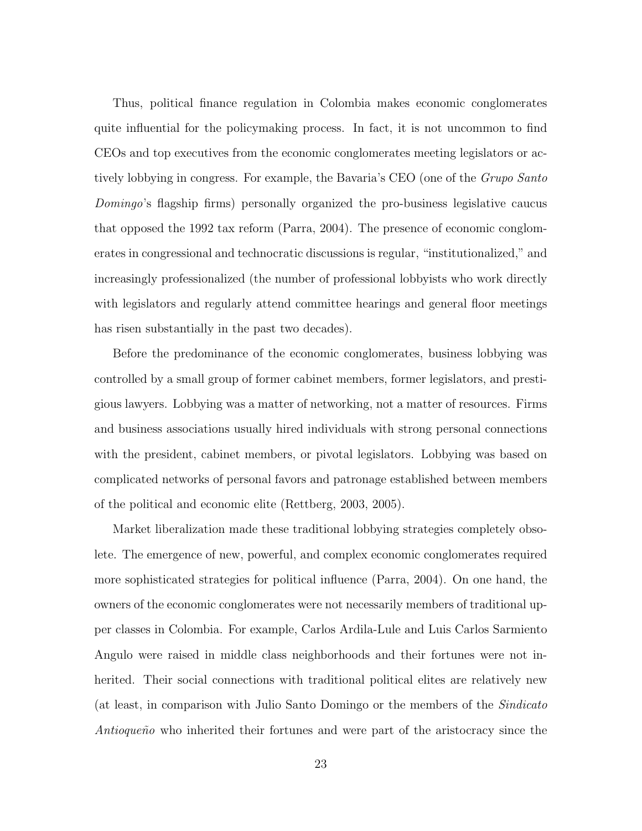Thus, political finance regulation in Colombia makes economic conglomerates quite influential for the policymaking process. In fact, it is not uncommon to find CEOs and top executives from the economic conglomerates meeting legislators or actively lobbying in congress. For example, the Bavaria's CEO (one of the Grupo Santo Domingo's flagship firms) personally organized the pro-business legislative caucus that opposed the 1992 tax reform (Parra, 2004). The presence of economic conglomerates in congressional and technocratic discussions is regular, "institutionalized," and increasingly professionalized (the number of professional lobbyists who work directly with legislators and regularly attend committee hearings and general floor meetings has risen substantially in the past two decades).

Before the predominance of the economic conglomerates, business lobbying was controlled by a small group of former cabinet members, former legislators, and prestigious lawyers. Lobbying was a matter of networking, not a matter of resources. Firms and business associations usually hired individuals with strong personal connections with the president, cabinet members, or pivotal legislators. Lobbying was based on complicated networks of personal favors and patronage established between members of the political and economic elite (Rettberg, 2003, 2005).

Market liberalization made these traditional lobbying strategies completely obsolete. The emergence of new, powerful, and complex economic conglomerates required more sophisticated strategies for political influence (Parra, 2004). On one hand, the owners of the economic conglomerates were not necessarily members of traditional upper classes in Colombia. For example, Carlos Ardila-Lule and Luis Carlos Sarmiento Angulo were raised in middle class neighborhoods and their fortunes were not inherited. Their social connections with traditional political elites are relatively new (at least, in comparison with Julio Santo Domingo or the members of the Sindicato Antioque $\tilde{n}$  who inherited their fortunes and were part of the aristocracy since the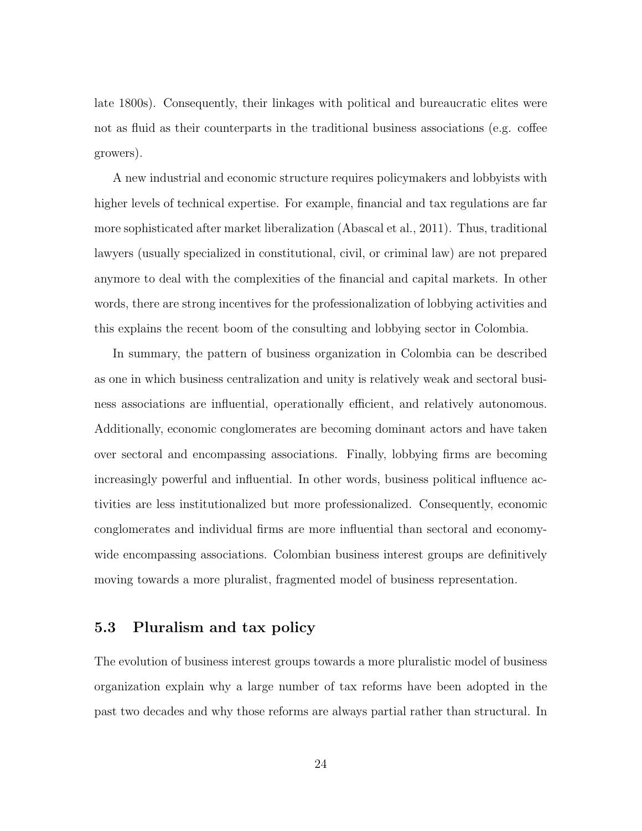late 1800s). Consequently, their linkages with political and bureaucratic elites were not as fluid as their counterparts in the traditional business associations (e.g. coffee growers).

A new industrial and economic structure requires policymakers and lobbyists with higher levels of technical expertise. For example, financial and tax regulations are far more sophisticated after market liberalization (Abascal et al., 2011). Thus, traditional lawyers (usually specialized in constitutional, civil, or criminal law) are not prepared anymore to deal with the complexities of the financial and capital markets. In other words, there are strong incentives for the professionalization of lobbying activities and this explains the recent boom of the consulting and lobbying sector in Colombia.

In summary, the pattern of business organization in Colombia can be described as one in which business centralization and unity is relatively weak and sectoral business associations are influential, operationally efficient, and relatively autonomous. Additionally, economic conglomerates are becoming dominant actors and have taken over sectoral and encompassing associations. Finally, lobbying firms are becoming increasingly powerful and influential. In other words, business political influence activities are less institutionalized but more professionalized. Consequently, economic conglomerates and individual firms are more influential than sectoral and economywide encompassing associations. Colombian business interest groups are definitively moving towards a more pluralist, fragmented model of business representation.

### 5.3 Pluralism and tax policy

The evolution of business interest groups towards a more pluralistic model of business organization explain why a large number of tax reforms have been adopted in the past two decades and why those reforms are always partial rather than structural. In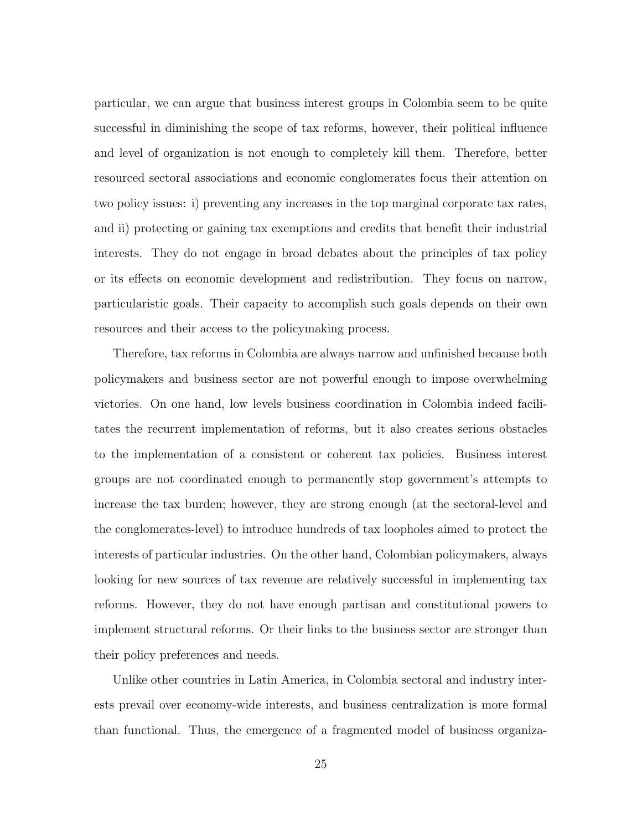particular, we can argue that business interest groups in Colombia seem to be quite successful in diminishing the scope of tax reforms, however, their political influence and level of organization is not enough to completely kill them. Therefore, better resourced sectoral associations and economic conglomerates focus their attention on two policy issues: i) preventing any increases in the top marginal corporate tax rates, and ii) protecting or gaining tax exemptions and credits that benefit their industrial interests. They do not engage in broad debates about the principles of tax policy or its effects on economic development and redistribution. They focus on narrow, particularistic goals. Their capacity to accomplish such goals depends on their own resources and their access to the policymaking process.

Therefore, tax reforms in Colombia are always narrow and unfinished because both policymakers and business sector are not powerful enough to impose overwhelming victories. On one hand, low levels business coordination in Colombia indeed facilitates the recurrent implementation of reforms, but it also creates serious obstacles to the implementation of a consistent or coherent tax policies. Business interest groups are not coordinated enough to permanently stop government's attempts to increase the tax burden; however, they are strong enough (at the sectoral-level and the conglomerates-level) to introduce hundreds of tax loopholes aimed to protect the interests of particular industries. On the other hand, Colombian policymakers, always looking for new sources of tax revenue are relatively successful in implementing tax reforms. However, they do not have enough partisan and constitutional powers to implement structural reforms. Or their links to the business sector are stronger than their policy preferences and needs.

Unlike other countries in Latin America, in Colombia sectoral and industry interests prevail over economy-wide interests, and business centralization is more formal than functional. Thus, the emergence of a fragmented model of business organiza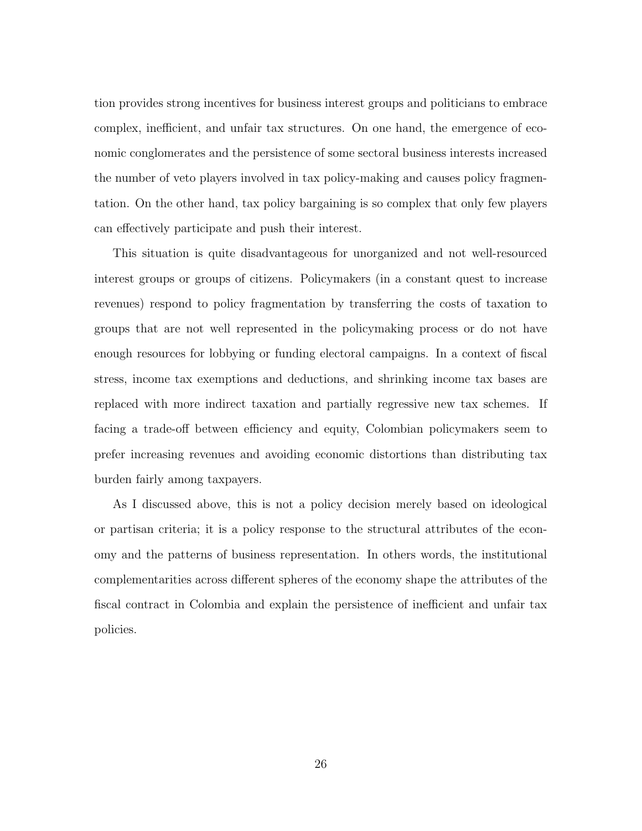tion provides strong incentives for business interest groups and politicians to embrace complex, inefficient, and unfair tax structures. On one hand, the emergence of economic conglomerates and the persistence of some sectoral business interests increased the number of veto players involved in tax policy-making and causes policy fragmentation. On the other hand, tax policy bargaining is so complex that only few players can effectively participate and push their interest.

This situation is quite disadvantageous for unorganized and not well-resourced interest groups or groups of citizens. Policymakers (in a constant quest to increase revenues) respond to policy fragmentation by transferring the costs of taxation to groups that are not well represented in the policymaking process or do not have enough resources for lobbying or funding electoral campaigns. In a context of fiscal stress, income tax exemptions and deductions, and shrinking income tax bases are replaced with more indirect taxation and partially regressive new tax schemes. If facing a trade-off between efficiency and equity, Colombian policymakers seem to prefer increasing revenues and avoiding economic distortions than distributing tax burden fairly among taxpayers.

As I discussed above, this is not a policy decision merely based on ideological or partisan criteria; it is a policy response to the structural attributes of the economy and the patterns of business representation. In others words, the institutional complementarities across different spheres of the economy shape the attributes of the fiscal contract in Colombia and explain the persistence of inefficient and unfair tax policies.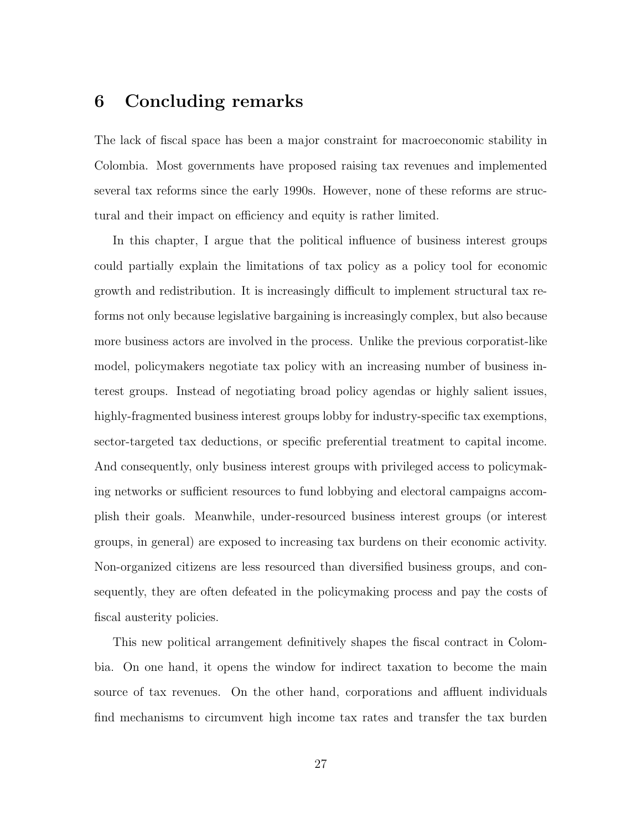## 6 Concluding remarks

The lack of fiscal space has been a major constraint for macroeconomic stability in Colombia. Most governments have proposed raising tax revenues and implemented several tax reforms since the early 1990s. However, none of these reforms are structural and their impact on efficiency and equity is rather limited.

In this chapter, I argue that the political influence of business interest groups could partially explain the limitations of tax policy as a policy tool for economic growth and redistribution. It is increasingly difficult to implement structural tax reforms not only because legislative bargaining is increasingly complex, but also because more business actors are involved in the process. Unlike the previous corporatist-like model, policymakers negotiate tax policy with an increasing number of business interest groups. Instead of negotiating broad policy agendas or highly salient issues, highly-fragmented business interest groups lobby for industry-specific tax exemptions, sector-targeted tax deductions, or specific preferential treatment to capital income. And consequently, only business interest groups with privileged access to policymaking networks or sufficient resources to fund lobbying and electoral campaigns accomplish their goals. Meanwhile, under-resourced business interest groups (or interest groups, in general) are exposed to increasing tax burdens on their economic activity. Non-organized citizens are less resourced than diversified business groups, and consequently, they are often defeated in the policymaking process and pay the costs of fiscal austerity policies.

This new political arrangement definitively shapes the fiscal contract in Colombia. On one hand, it opens the window for indirect taxation to become the main source of tax revenues. On the other hand, corporations and affluent individuals find mechanisms to circumvent high income tax rates and transfer the tax burden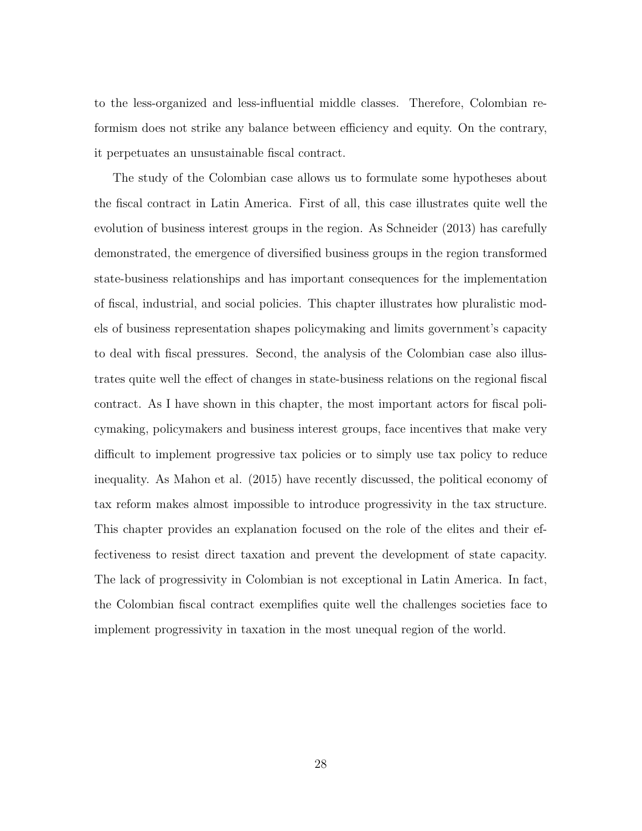to the less-organized and less-influential middle classes. Therefore, Colombian reformism does not strike any balance between efficiency and equity. On the contrary, it perpetuates an unsustainable fiscal contract.

The study of the Colombian case allows us to formulate some hypotheses about the fiscal contract in Latin America. First of all, this case illustrates quite well the evolution of business interest groups in the region. As Schneider (2013) has carefully demonstrated, the emergence of diversified business groups in the region transformed state-business relationships and has important consequences for the implementation of fiscal, industrial, and social policies. This chapter illustrates how pluralistic models of business representation shapes policymaking and limits government's capacity to deal with fiscal pressures. Second, the analysis of the Colombian case also illustrates quite well the effect of changes in state-business relations on the regional fiscal contract. As I have shown in this chapter, the most important actors for fiscal policymaking, policymakers and business interest groups, face incentives that make very difficult to implement progressive tax policies or to simply use tax policy to reduce inequality. As Mahon et al. (2015) have recently discussed, the political economy of tax reform makes almost impossible to introduce progressivity in the tax structure. This chapter provides an explanation focused on the role of the elites and their effectiveness to resist direct taxation and prevent the development of state capacity. The lack of progressivity in Colombian is not exceptional in Latin America. In fact, the Colombian fiscal contract exemplifies quite well the challenges societies face to implement progressivity in taxation in the most unequal region of the world.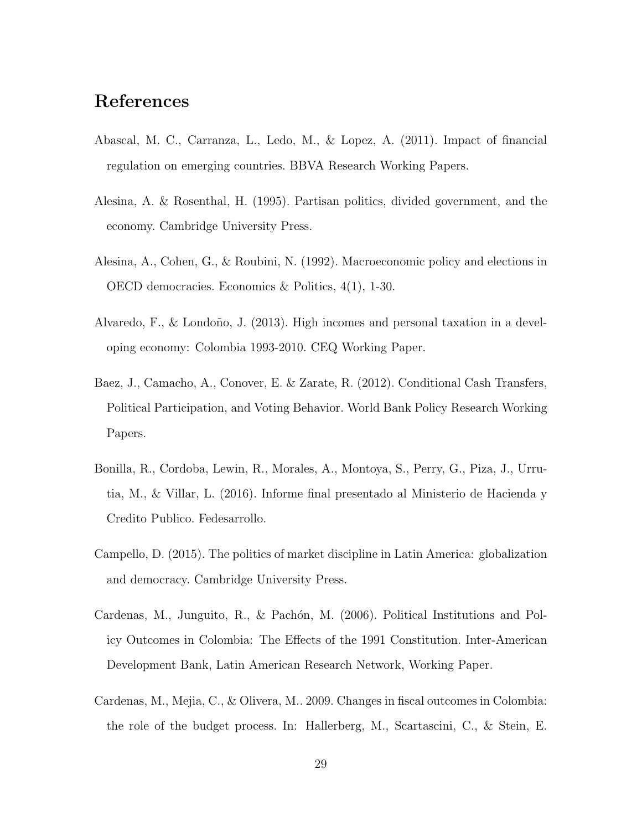## References

- Abascal, M. C., Carranza, L., Ledo, M., & Lopez, A. (2011). Impact of financial regulation on emerging countries. BBVA Research Working Papers.
- Alesina, A. & Rosenthal, H. (1995). Partisan politics, divided government, and the economy. Cambridge University Press.
- Alesina, A., Cohen, G., & Roubini, N. (1992). Macroeconomic policy and elections in OECD democracies. Economics & Politics, 4(1), 1-30.
- Alvaredo, F., & Londoño, J. (2013). High incomes and personal taxation in a developing economy: Colombia 1993-2010. CEQ Working Paper.
- Baez, J., Camacho, A., Conover, E. & Zarate, R. (2012). Conditional Cash Transfers, Political Participation, and Voting Behavior. World Bank Policy Research Working Papers.
- Bonilla, R., Cordoba, Lewin, R., Morales, A., Montoya, S., Perry, G., Piza, J., Urrutia, M., & Villar, L. (2016). Informe final presentado al Ministerio de Hacienda y Credito Publico. Fedesarrollo.
- Campello, D. (2015). The politics of market discipline in Latin America: globalization and democracy. Cambridge University Press.
- Cardenas, M., Junguito, R., & Pachón, M. (2006). Political Institutions and Policy Outcomes in Colombia: The Effects of the 1991 Constitution. Inter-American Development Bank, Latin American Research Network, Working Paper.
- Cardenas, M., Mejia, C., & Olivera, M.. 2009. Changes in fiscal outcomes in Colombia: the role of the budget process. In: Hallerberg, M., Scartascini, C., & Stein, E.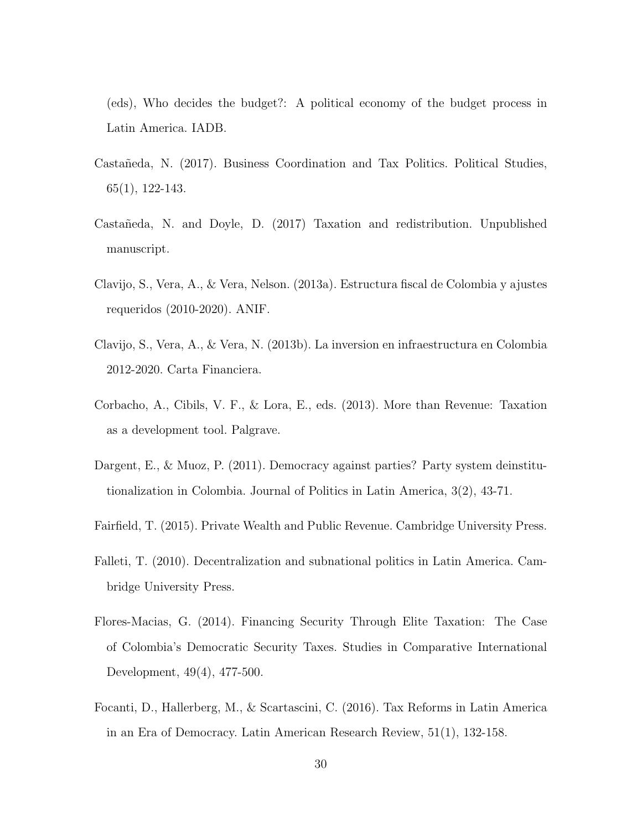(eds), Who decides the budget?: A political economy of the budget process in Latin America. IADB.

- Castañeda, N. (2017). Business Coordination and Tax Politics. Political Studies, 65(1), 122-143.
- Castañeda, N. and Doyle, D. (2017) Taxation and redistribution. Unpublished manuscript.
- Clavijo, S., Vera, A., & Vera, Nelson. (2013a). Estructura fiscal de Colombia y ajustes requeridos (2010-2020). ANIF.
- Clavijo, S., Vera, A., & Vera, N. (2013b). La inversion en infraestructura en Colombia 2012-2020. Carta Financiera.
- Corbacho, A., Cibils, V. F., & Lora, E., eds. (2013). More than Revenue: Taxation as a development tool. Palgrave.
- Dargent, E., & Muoz, P. (2011). Democracy against parties? Party system deinstitutionalization in Colombia. Journal of Politics in Latin America, 3(2), 43-71.
- Fairfield, T. (2015). Private Wealth and Public Revenue. Cambridge University Press.
- Falleti, T. (2010). Decentralization and subnational politics in Latin America. Cambridge University Press.
- Flores-Macias, G. (2014). Financing Security Through Elite Taxation: The Case of Colombia's Democratic Security Taxes. Studies in Comparative International Development, 49(4), 477-500.
- Focanti, D., Hallerberg, M., & Scartascini, C. (2016). Tax Reforms in Latin America in an Era of Democracy. Latin American Research Review, 51(1), 132-158.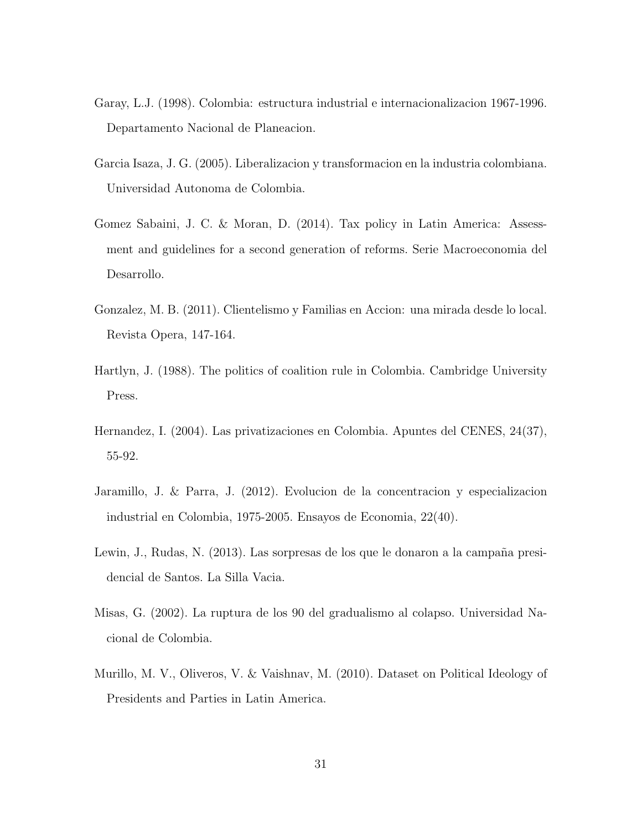- Garay, L.J. (1998). Colombia: estructura industrial e internacionalizacion 1967-1996. Departamento Nacional de Planeacion.
- Garcia Isaza, J. G. (2005). Liberalizacion y transformacion en la industria colombiana. Universidad Autonoma de Colombia.
- Gomez Sabaini, J. C. & Moran, D. (2014). Tax policy in Latin America: Assessment and guidelines for a second generation of reforms. Serie Macroeconomia del Desarrollo.
- Gonzalez, M. B. (2011). Clientelismo y Familias en Accion: una mirada desde lo local. Revista Opera, 147-164.
- Hartlyn, J. (1988). The politics of coalition rule in Colombia. Cambridge University Press.
- Hernandez, I. (2004). Las privatizaciones en Colombia. Apuntes del CENES, 24(37), 55-92.
- Jaramillo, J. & Parra, J. (2012). Evolucion de la concentracion y especializacion industrial en Colombia, 1975-2005. Ensayos de Economia, 22(40).
- Lewin, J., Rudas, N. (2013). Las sorpresas de los que le donaron a la campaña presidencial de Santos. La Silla Vacia.
- Misas, G. (2002). La ruptura de los 90 del gradualismo al colapso. Universidad Nacional de Colombia.
- Murillo, M. V., Oliveros, V. & Vaishnav, M. (2010). Dataset on Political Ideology of Presidents and Parties in Latin America.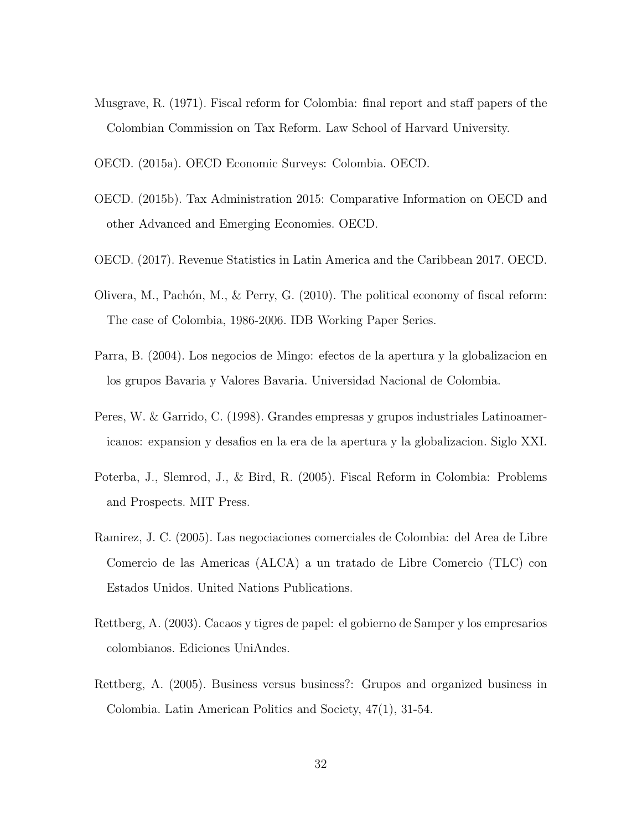- Musgrave, R. (1971). Fiscal reform for Colombia: final report and staff papers of the Colombian Commission on Tax Reform. Law School of Harvard University.
- OECD. (2015a). OECD Economic Surveys: Colombia. OECD.
- OECD. (2015b). Tax Administration 2015: Comparative Information on OECD and other Advanced and Emerging Economies. OECD.
- OECD. (2017). Revenue Statistics in Latin America and the Caribbean 2017. OECD.
- Olivera, M., Pachón, M., & Perry, G.  $(2010)$ . The political economy of fiscal reform: The case of Colombia, 1986-2006. IDB Working Paper Series.
- Parra, B. (2004). Los negocios de Mingo: efectos de la apertura y la globalizacion en los grupos Bavaria y Valores Bavaria. Universidad Nacional de Colombia.
- Peres, W. & Garrido, C. (1998). Grandes empresas y grupos industriales Latinoamericanos: expansion y desafios en la era de la apertura y la globalizacion. Siglo XXI.
- Poterba, J., Slemrod, J., & Bird, R. (2005). Fiscal Reform in Colombia: Problems and Prospects. MIT Press.
- Ramirez, J. C. (2005). Las negociaciones comerciales de Colombia: del Area de Libre Comercio de las Americas (ALCA) a un tratado de Libre Comercio (TLC) con Estados Unidos. United Nations Publications.
- Rettberg, A. (2003). Cacaos y tigres de papel: el gobierno de Samper y los empresarios colombianos. Ediciones UniAndes.
- Rettberg, A. (2005). Business versus business?: Grupos and organized business in Colombia. Latin American Politics and Society, 47(1), 31-54.